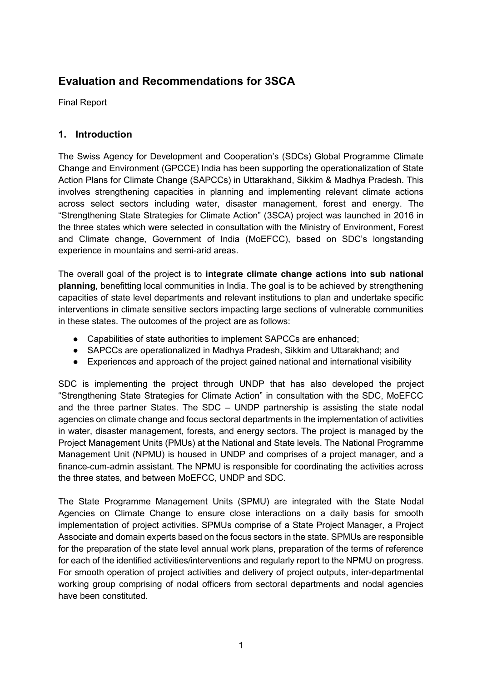# **Evaluation and Recommendations for 3SCA**

Final Report

## **1. Introduction**

The Swiss Agency for Development and Cooperation's (SDCs) Global Programme Climate Change and Environment (GPCCE) India has been supporting the operationalization of State Action Plans for Climate Change (SAPCCs) in Uttarakhand, Sikkim & Madhya Pradesh. This involves strengthening capacities in planning and implementing relevant climate actions across select sectors including water, disaster management, forest and energy. The "Strengthening State Strategies for Climate Action" (3SCA) project was launched in 2016 in the three states which were selected in consultation with the Ministry of Environment, Forest and Climate change, Government of India (MoEFCC), based on SDC's longstanding experience in mountains and semi-arid areas.

The overall goal of the project is to **integrate climate change actions into sub national planning**, benefitting local communities in India. The goal is to be achieved by strengthening capacities of state level departments and relevant institutions to plan and undertake specific interventions in climate sensitive sectors impacting large sections of vulnerable communities in these states. The outcomes of the project are as follows:

- Capabilities of state authorities to implement SAPCCs are enhanced;
- SAPCCs are operationalized in Madhya Pradesh, Sikkim and Uttarakhand; and
- Experiences and approach of the project gained national and international visibility

SDC is implementing the project through UNDP that has also developed the project "Strengthening State Strategies for Climate Action" in consultation with the SDC, MoEFCC and the three partner States. The SDC – UNDP partnership is assisting the state nodal agencies on climate change and focus sectoral departments in the implementation of activities in water, disaster management, forests, and energy sectors. The project is managed by the Project Management Units (PMUs) at the National and State levels. The National Programme Management Unit (NPMU) is housed in UNDP and comprises of a project manager, and a finance-cum-admin assistant. The NPMU is responsible for coordinating the activities across the three states, and between MoEFCC, UNDP and SDC.

The State Programme Management Units (SPMU) are integrated with the State Nodal Agencies on Climate Change to ensure close interactions on a daily basis for smooth implementation of project activities. SPMUs comprise of a State Project Manager, a Project Associate and domain experts based on the focus sectors in the state. SPMUs are responsible for the preparation of the state level annual work plans, preparation of the terms of reference for each of the identified activities/interventions and regularly report to the NPMU on progress. For smooth operation of project activities and delivery of project outputs, inter-departmental working group comprising of nodal officers from sectoral departments and nodal agencies have been constituted.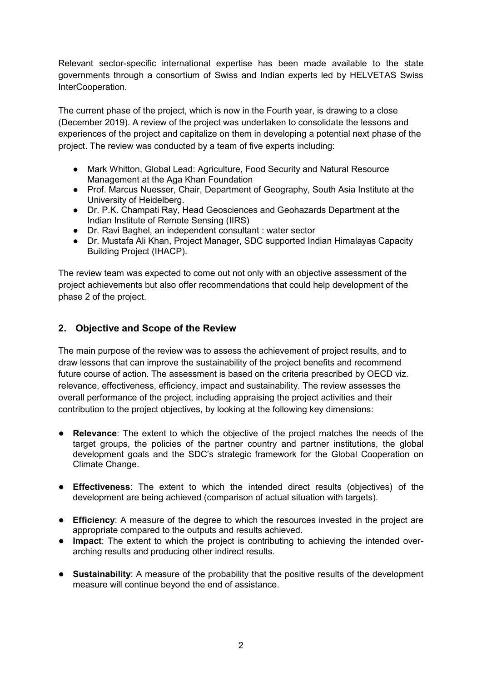Relevant sector-specific international expertise has been made available to the state governments through a consortium of Swiss and Indian experts led by HELVETAS Swiss InterCooperation.

The current phase of the project, which is now in the Fourth year, is drawing to a close (December 2019). A review of the project was undertaken to consolidate the lessons and experiences of the project and capitalize on them in developing a potential next phase of the project. The review was conducted by a team of five experts including:

- Mark Whitton, Global Lead: Agriculture, Food Security and Natural Resource Management at the Aga Khan Foundation
- Prof. Marcus Nuesser, Chair, Department of Geography, South Asia Institute at the University of Heidelberg.
- Dr. P.K. Champati Ray, Head Geosciences and Geohazards Department at the Indian Institute of Remote Sensing (IIRS)
- Dr. Ravi Baghel, an independent consultant : water sector
- Dr. Mustafa Ali Khan, Project Manager, SDC supported Indian Himalayas Capacity Building Project (IHACP).

The review team was expected to come out not only with an objective assessment of the project achievements but also offer recommendations that could help development of the phase 2 of the project.

## **2. Objective and Scope of the Review**

The main purpose of the review was to assess the achievement of project results, and to draw lessons that can improve the sustainability of the project benefits and recommend future course of action. The assessment is based on the criteria prescribed by OECD viz. relevance, effectiveness, efficiency, impact and sustainability. The review assesses the overall performance of the project, including appraising the project activities and their contribution to the project objectives, by looking at the following key dimensions:

- **Relevance**: The extent to which the objective of the project matches the needs of the target groups, the policies of the partner country and partner institutions, the global development goals and the SDC's strategic framework for the Global Cooperation on Climate Change.
- **Effectiveness**: The extent to which the intended direct results (objectives) of the development are being achieved (comparison of actual situation with targets).
- **Efficiency**: A measure of the degree to which the resources invested in the project are appropriate compared to the outputs and results achieved.
- **Impact**: The extent to which the project is contributing to achieving the intended overarching results and producing other indirect results.
- **Sustainability**: A measure of the probability that the positive results of the development measure will continue beyond the end of assistance.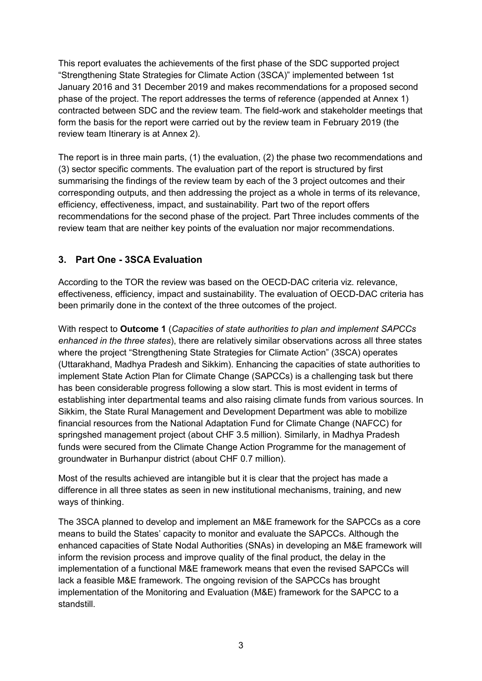This report evaluates the achievements of the first phase of the SDC supported project "Strengthening State Strategies for Climate Action (3SCA)" implemented between 1st January 2016 and 31 December 2019 and makes recommendations for a proposed second phase of the project. The report addresses the terms of reference (appended at Annex 1) contracted between SDC and the review team. The field-work and stakeholder meetings that form the basis for the report were carried out by the review team in February 2019 (the review team Itinerary is at Annex 2).

The report is in three main parts, (1) the evaluation, (2) the phase two recommendations and (3) sector specific comments. The evaluation part of the report is structured by first summarising the findings of the review team by each of the 3 project outcomes and their corresponding outputs, and then addressing the project as a whole in terms of its relevance, efficiency, effectiveness, impact, and sustainability. Part two of the report offers recommendations for the second phase of the project. Part Three includes comments of the review team that are neither key points of the evaluation nor major recommendations.

# **3. Part One - 3SCA Evaluation**

According to the TOR the review was based on the OECD-DAC criteria viz. relevance, effectiveness, efficiency, impact and sustainability. The evaluation of OECD-DAC criteria has been primarily done in the context of the three outcomes of the project.

With respect to **Outcome 1** (*Capacities of state authorities to plan and implement SAPCCs enhanced in the three states*), there are relatively similar observations across all three states where the project "Strengthening State Strategies for Climate Action" (3SCA) operates (Uttarakhand, Madhya Pradesh and Sikkim). Enhancing the capacities of state authorities to implement State Action Plan for Climate Change (SAPCCs) is a challenging task but there has been considerable progress following a slow start. This is most evident in terms of establishing inter departmental teams and also raising climate funds from various sources. In Sikkim, the State Rural Management and Development Department was able to mobilize financial resources from the National Adaptation Fund for Climate Change (NAFCC) for springshed management project (about CHF 3.5 million). Similarly, in Madhya Pradesh funds were secured from the Climate Change Action Programme for the management of groundwater in Burhanpur district (about CHF 0.7 million).

Most of the results achieved are intangible but it is clear that the project has made a difference in all three states as seen in new institutional mechanisms, training, and new ways of thinking.

The 3SCA planned to develop and implement an M&E framework for the SAPCCs as a core means to build the States' capacity to monitor and evaluate the SAPCCs. Although the enhanced capacities of State Nodal Authorities (SNAs) in developing an M&E framework will inform the revision process and improve quality of the final product, the delay in the implementation of a functional M&E framework means that even the revised SAPCCs will lack a feasible M&E framework. The ongoing revision of the SAPCCs has brought implementation of the Monitoring and Evaluation (M&E) framework for the SAPCC to a standstill.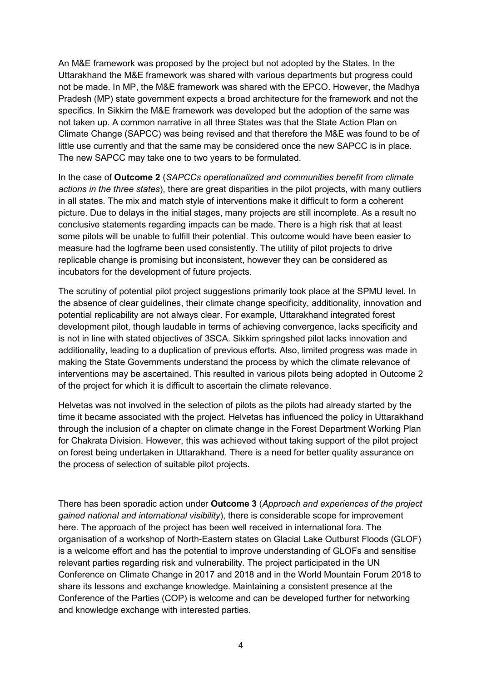An M&E framework was proposed by the project but not adopted by the States. In the Uttarakhand the M&E framework was shared with various departments but progress could not be made. In MP, the M&E framework was shared with the EPCO. However, the Madhya Pradesh (MP) state government expects a broad architecture for the framework and not the specifics. In Sikkim the M&E framework was developed but the adoption of the same was not taken up. A common narrative in all three States was that the State Action Plan on Climate Change (SAPCC) was being revised and that therefore the M&E was found to be of little use currently and that the same may be considered once the new SAPCC is in place. The new SAPCC may take one to two years to be formulated.

In the case of **Outcome 2** (*SAPCCs operationalized and communities benefit from climate actions in the three states*), there are great disparities in the pilot projects, with many outliers in all states. The mix and match style of interventions make it difficult to form a coherent picture. Due to delays in the initial stages, many projects are still incomplete. As a result no conclusive statements regarding impacts can be made. There is a high risk that at least some pilots will be unable to fulfill their potential. This outcome would have been easier to measure had the logframe been used consistently. The utility of pilot projects to drive replicable change is promising but inconsistent, however they can be considered as incubators for the development of future projects.

The scrutiny of potential pilot project suggestions primarily took place at the SPMU level. In the absence of clear guidelines, their climate change specificity, additionality, innovation and potential replicability are not always clear. For example, Uttarakhand integrated forest development pilot, though laudable in terms of achieving convergence, lacks specificity and is not in line with stated objectives of 3SCA. Sikkim springshed pilot lacks innovation and additionality, leading to a duplication of previous efforts. Also, limited progress was made in making the State Governments understand the process by which the climate relevance of interventions may be ascertained. This resulted in various pilots being adopted in Outcome 2 of the project for which it is difficult to ascertain the climate relevance.

Helvetas was not involved in the selection of pilots as the pilots had already started by the time it became associated with the project. Helvetas has influenced the policy in Uttarakhand through the inclusion of a chapter on climate change in the Forest Department Working Plan for Chakrata Division. However, this was achieved without taking support of the pilot project on forest being undertaken in Uttarakhand. There is a need for better quality assurance on the process of selection of suitable pilot projects.

There has been sporadic action under **Outcome 3** (*Approach and experiences of the project gained national and international visibility*), there is considerable scope for improvement here. The approach of the project has been well received in international fora. The organisation of a workshop of North-Eastern states on Glacial Lake Outburst Floods (GLOF) is a welcome effort and has the potential to improve understanding of GLOFs and sensitise relevant parties regarding risk and vulnerability. The project participated in the UN Conference on Climate Change in 2017 and 2018 and in the World Mountain Forum 2018 to share its lessons and exchange knowledge. Maintaining a consistent presence at the Conference of the Parties (COP) is welcome and can be developed further for networking and knowledge exchange with interested parties.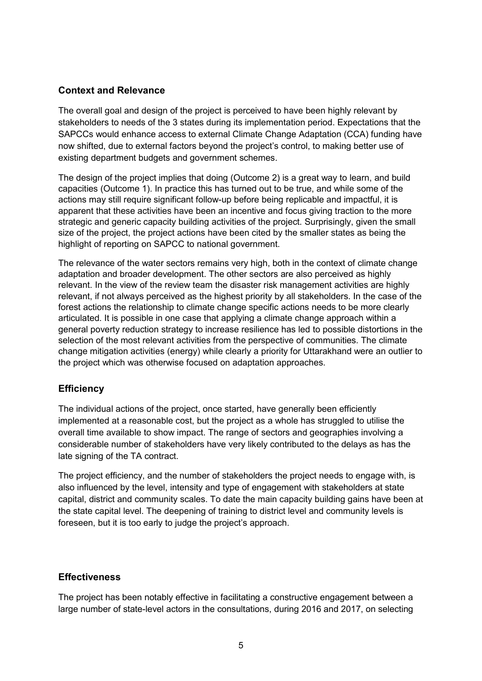## **Context and Relevance**

The overall goal and design of the project is perceived to have been highly relevant by stakeholders to needs of the 3 states during its implementation period. Expectations that the SAPCCs would enhance access to external Climate Change Adaptation (CCA) funding have now shifted, due to external factors beyond the project's control, to making better use of existing department budgets and government schemes.

The design of the project implies that doing (Outcome 2) is a great way to learn, and build capacities (Outcome 1). In practice this has turned out to be true, and while some of the actions may still require significant follow-up before being replicable and impactful, it is apparent that these activities have been an incentive and focus giving traction to the more strategic and generic capacity building activities of the project. Surprisingly, given the small size of the project, the project actions have been cited by the smaller states as being the highlight of reporting on SAPCC to national government.

The relevance of the water sectors remains very high, both in the context of climate change adaptation and broader development. The other sectors are also perceived as highly relevant. In the view of the review team the disaster risk management activities are highly relevant, if not always perceived as the highest priority by all stakeholders. In the case of the forest actions the relationship to climate change specific actions needs to be more clearly articulated. It is possible in one case that applying a climate change approach within a general poverty reduction strategy to increase resilience has led to possible distortions in the selection of the most relevant activities from the perspective of communities. The climate change mitigation activities (energy) while clearly a priority for Uttarakhand were an outlier to the project which was otherwise focused on adaptation approaches.

## **Efficiency**

The individual actions of the project, once started, have generally been efficiently implemented at a reasonable cost, but the project as a whole has struggled to utilise the overall time available to show impact. The range of sectors and geographies involving a considerable number of stakeholders have very likely contributed to the delays as has the late signing of the TA contract.

The project efficiency, and the number of stakeholders the project needs to engage with, is also influenced by the level, intensity and type of engagement with stakeholders at state capital, district and community scales. To date the main capacity building gains have been at the state capital level. The deepening of training to district level and community levels is foreseen, but it is too early to judge the project's approach.

#### **Effectiveness**

The project has been notably effective in facilitating a constructive engagement between a large number of state-level actors in the consultations, during 2016 and 2017, on selecting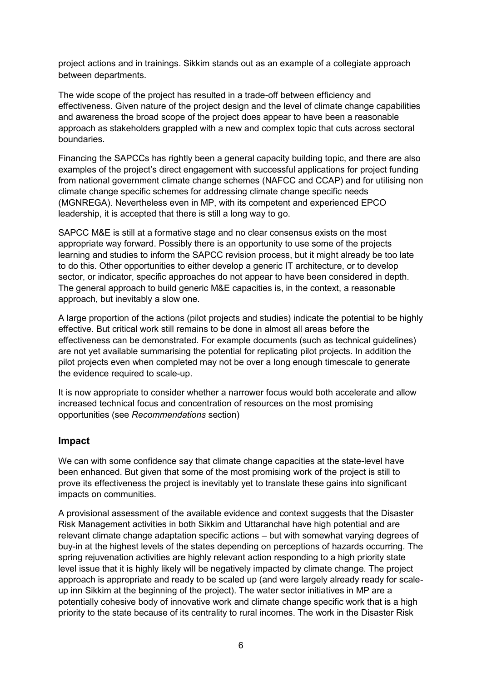project actions and in trainings. Sikkim stands out as an example of a collegiate approach between departments.

The wide scope of the project has resulted in a trade-off between efficiency and effectiveness. Given nature of the project design and the level of climate change capabilities and awareness the broad scope of the project does appear to have been a reasonable approach as stakeholders grappled with a new and complex topic that cuts across sectoral boundaries.

Financing the SAPCCs has rightly been a general capacity building topic, and there are also examples of the project's direct engagement with successful applications for project funding from national government climate change schemes (NAFCC and CCAP) and for utilising non climate change specific schemes for addressing climate change specific needs (MGNREGA). Nevertheless even in MP, with its competent and experienced EPCO leadership, it is accepted that there is still a long way to go.

SAPCC M&E is still at a formative stage and no clear consensus exists on the most appropriate way forward. Possibly there is an opportunity to use some of the projects learning and studies to inform the SAPCC revision process, but it might already be too late to do this. Other opportunities to either develop a generic IT architecture, or to develop sector, or indicator, specific approaches do not appear to have been considered in depth. The general approach to build generic M&E capacities is, in the context, a reasonable approach, but inevitably a slow one.

A large proportion of the actions (pilot projects and studies) indicate the potential to be highly effective. But critical work still remains to be done in almost all areas before the effectiveness can be demonstrated. For example documents (such as technical guidelines) are not yet available summarising the potential for replicating pilot projects. In addition the pilot projects even when completed may not be over a long enough timescale to generate the evidence required to scale-up.

It is now appropriate to consider whether a narrower focus would both accelerate and allow increased technical focus and concentration of resources on the most promising opportunities (see *Recommendations* section)

#### **Impact**

We can with some confidence say that climate change capacities at the state-level have been enhanced. But given that some of the most promising work of the project is still to prove its effectiveness the project is inevitably yet to translate these gains into significant impacts on communities.

A provisional assessment of the available evidence and context suggests that the Disaster Risk Management activities in both Sikkim and Uttaranchal have high potential and are relevant climate change adaptation specific actions – but with somewhat varying degrees of buy-in at the highest levels of the states depending on perceptions of hazards occurring. The spring rejuvenation activities are highly relevant action responding to a high priority state level issue that it is highly likely will be negatively impacted by climate change. The project approach is appropriate and ready to be scaled up (and were largely already ready for scaleup inn Sikkim at the beginning of the project). The water sector initiatives in MP are a potentially cohesive body of innovative work and climate change specific work that is a high priority to the state because of its centrality to rural incomes. The work in the Disaster Risk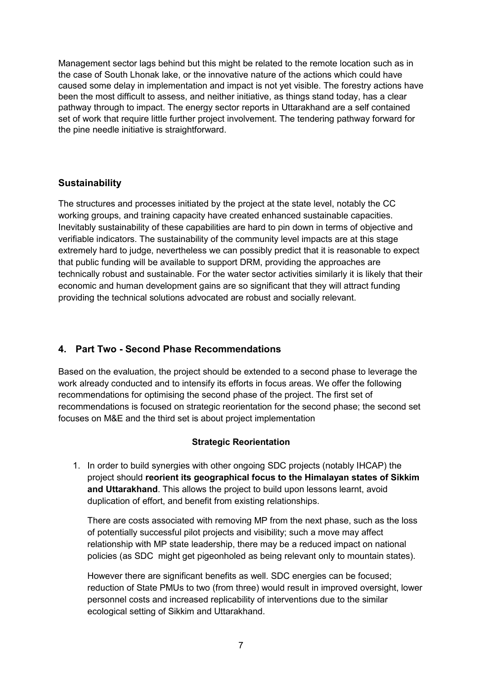Management sector lags behind but this might be related to the remote location such as in the case of South Lhonak lake, or the innovative nature of the actions which could have caused some delay in implementation and impact is not yet visible. The forestry actions have been the most difficult to assess, and neither initiative, as things stand today, has a clear pathway through to impact. The energy sector reports in Uttarakhand are a self contained set of work that require little further project involvement. The tendering pathway forward for the pine needle initiative is straightforward.

## **Sustainability**

The structures and processes initiated by the project at the state level, notably the CC working groups, and training capacity have created enhanced sustainable capacities. Inevitably sustainability of these capabilities are hard to pin down in terms of objective and verifiable indicators. The sustainability of the community level impacts are at this stage extremely hard to judge, nevertheless we can possibly predict that it is reasonable to expect that public funding will be available to support DRM, providing the approaches are technically robust and sustainable. For the water sector activities similarly it is likely that their economic and human development gains are so significant that they will attract funding providing the technical solutions advocated are robust and socially relevant.

## **4. Part Two - Second Phase Recommendations**

Based on the evaluation, the project should be extended to a second phase to leverage the work already conducted and to intensify its efforts in focus areas. We offer the following recommendations for optimising the second phase of the project. The first set of recommendations is focused on strategic reorientation for the second phase; the second set focuses on M&E and the third set is about project implementation

#### **Strategic Reorientation**

1. In order to build synergies with other ongoing SDC projects (notably IHCAP) the project should **reorient its geographical focus to the Himalayan states of Sikkim and Uttarakhand**. This allows the project to build upon lessons learnt, avoid duplication of effort, and benefit from existing relationships.

There are costs associated with removing MP from the next phase, such as the loss of potentially successful pilot projects and visibility; such a move may affect relationship with MP state leadership, there may be a reduced impact on national policies (as SDC might get pigeonholed as being relevant only to mountain states).

However there are significant benefits as well. SDC energies can be focused; reduction of State PMUs to two (from three) would result in improved oversight, lower personnel costs and increased replicability of interventions due to the similar ecological setting of Sikkim and Uttarakhand.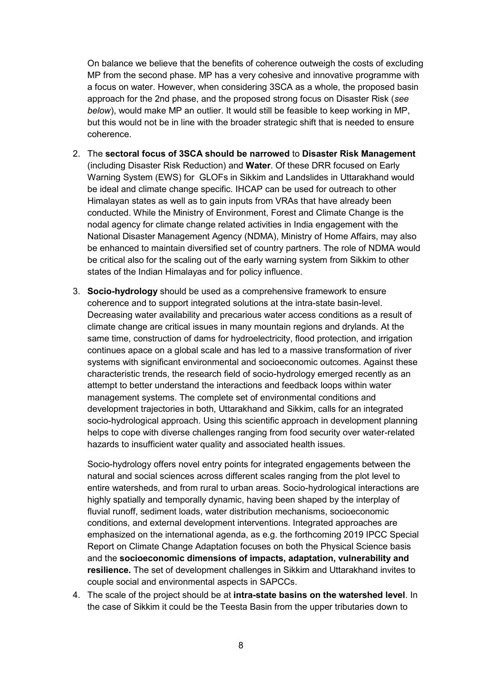On balance we believe that the benefits of coherence outweigh the costs of excluding MP from the second phase. MP has a very cohesive and innovative programme with a focus on water. However, when considering 3SCA as a whole, the proposed basin approach for the 2nd phase, and the proposed strong focus on Disaster Risk (*see below*), would make MP an outlier. It would still be feasible to keep working in MP, but this would not be in line with the broader strategic shift that is needed to ensure coherence.

- 2. The **sectoral focus of 3SCA should be narrowed** to **Disaster Risk Management** (including Disaster Risk Reduction) and **Water**. Of these DRR focused on Early Warning System (EWS) for GLOFs in Sikkim and Landslides in Uttarakhand would be ideal and climate change specific. IHCAP can be used for outreach to other Himalayan states as well as to gain inputs from VRAs that have already been conducted. While the Ministry of Environment, Forest and Climate Change is the nodal agency for climate change related activities in India engagement with the National Disaster Management Agency (NDMA), Ministry of Home Affairs, may also be enhanced to maintain diversified set of country partners. The role of NDMA would be critical also for the scaling out of the early warning system from Sikkim to other states of the Indian Himalayas and for policy influence.
- 3. **Socio-hydrology** should be used as a comprehensive framework to ensure coherence and to support integrated solutions at the intra-state basin-level. Decreasing water availability and precarious water access conditions as a result of climate change are critical issues in many mountain regions and drylands. At the same time, construction of dams for hydroelectricity, flood protection, and irrigation continues apace on a global scale and has led to a massive transformation of river systems with significant environmental and socioeconomic outcomes. Against these characteristic trends, the research field of socio-hydrology emerged recently as an attempt to better understand the interactions and feedback loops within water management systems. The complete set of environmental conditions and development trajectories in both, Uttarakhand and Sikkim, calls for an integrated socio-hydrological approach. Using this scientific approach in development planning helps to cope with diverse challenges ranging from food security over water-related hazards to insufficient water quality and associated health issues.

Socio-hydrology offers novel entry points for integrated engagements between the natural and social sciences across different scales ranging from the plot level to entire watersheds, and from rural to urban areas. Socio-hydrological interactions are highly spatially and temporally dynamic, having been shaped by the interplay of fluvial runoff, sediment loads, water distribution mechanisms, socioeconomic conditions, and external development interventions. Integrated approaches are emphasized on the international agenda, as e.g. the forthcoming 2019 IPCC Special Report on Climate Change Adaptation focuses on both the Physical Science basis and the **socioeconomic dimensions of impacts, adaptation, vulnerability and resilience.** The set of development challenges in Sikkim and Uttarakhand invites to couple social and environmental aspects in SAPCCs.

4. The scale of the project should be at **intra-state basins on the watershed level**. In the case of Sikkim it could be the Teesta Basin from the upper tributaries down to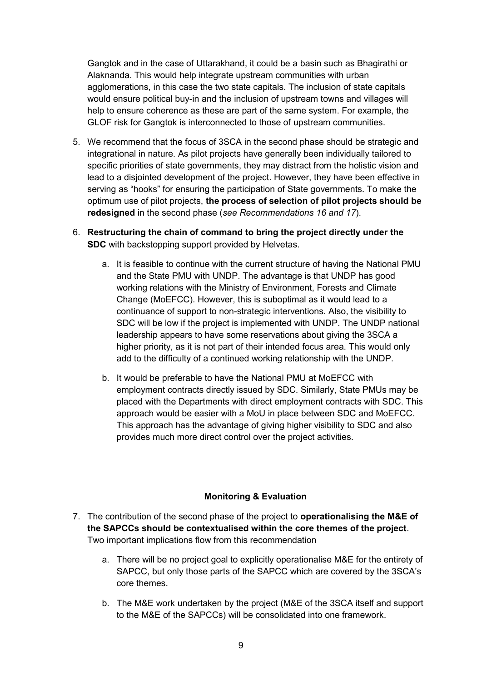Gangtok and in the case of Uttarakhand, it could be a basin such as Bhagirathi or Alaknanda. This would help integrate upstream communities with urban agglomerations, in this case the two state capitals. The inclusion of state capitals would ensure political buy-in and the inclusion of upstream towns and villages will help to ensure coherence as these are part of the same system. For example, the GLOF risk for Gangtok is interconnected to those of upstream communities.

- 5. We recommend that the focus of 3SCA in the second phase should be strategic and integrational in nature. As pilot projects have generally been individually tailored to specific priorities of state governments, they may distract from the holistic vision and lead to a disjointed development of the project. However, they have been effective in serving as "hooks" for ensuring the participation of State governments. To make the optimum use of pilot projects, **the process of selection of pilot projects should be redesigned** in the second phase (*see Recommendations 16 and 17*).
- 6. **Restructuring the chain of command to bring the project directly under the SDC** with backstopping support provided by Helvetas.
	- a. It is feasible to continue with the current structure of having the National PMU and the State PMU with UNDP. The advantage is that UNDP has good working relations with the Ministry of Environment, Forests and Climate Change (MoEFCC). However, this is suboptimal as it would lead to a continuance of support to non-strategic interventions. Also, the visibility to SDC will be low if the project is implemented with UNDP. The UNDP national leadership appears to have some reservations about giving the 3SCA a higher priority, as it is not part of their intended focus area. This would only add to the difficulty of a continued working relationship with the UNDP.
	- b. It would be preferable to have the National PMU at MoEFCC with employment contracts directly issued by SDC. Similarly, State PMUs may be placed with the Departments with direct employment contracts with SDC. This approach would be easier with a MoU in place between SDC and MoEFCC. This approach has the advantage of giving higher visibility to SDC and also provides much more direct control over the project activities.

#### **Monitoring & Evaluation**

- 7. The contribution of the second phase of the project to **operationalising the M&E of the SAPCCs should be contextualised within the core themes of the project**. Two important implications flow from this recommendation
	- a. There will be no project goal to explicitly operationalise M&E for the entirety of SAPCC, but only those parts of the SAPCC which are covered by the 3SCA's core themes.
	- b. The M&E work undertaken by the project (M&E of the 3SCA itself and support to the M&E of the SAPCCs) will be consolidated into one framework.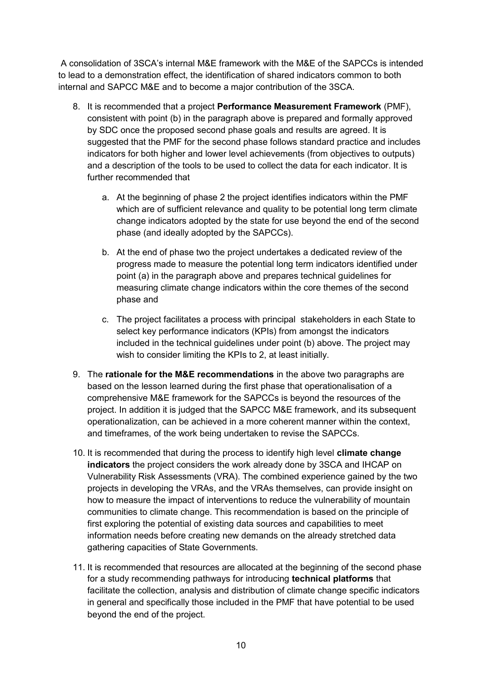A consolidation of 3SCA's internal M&E framework with the M&E of the SAPCCs is intended to lead to a demonstration effect, the identification of shared indicators common to both internal and SAPCC M&E and to become a major contribution of the 3SCA.

- 8. It is recommended that a project **Performance Measurement Framework** (PMF), consistent with point (b) in the paragraph above is prepared and formally approved by SDC once the proposed second phase goals and results are agreed. It is suggested that the PMF for the second phase follows standard practice and includes indicators for both higher and lower level achievements (from objectives to outputs) and a description of the tools to be used to collect the data for each indicator. It is further recommended that
	- a. At the beginning of phase 2 the project identifies indicators within the PMF which are of sufficient relevance and quality to be potential long term climate change indicators adopted by the state for use beyond the end of the second phase (and ideally adopted by the SAPCCs).
	- b. At the end of phase two the project undertakes a dedicated review of the progress made to measure the potential long term indicators identified under point (a) in the paragraph above and prepares technical guidelines for measuring climate change indicators within the core themes of the second phase and
	- c. The project facilitates a process with principal stakeholders in each State to select key performance indicators (KPIs) from amongst the indicators included in the technical guidelines under point (b) above. The project may wish to consider limiting the KPIs to 2, at least initially.
- 9. The **rationale for the M&E recommendations** in the above two paragraphs are based on the lesson learned during the first phase that operationalisation of a comprehensive M&E framework for the SAPCCs is beyond the resources of the project. In addition it is judged that the SAPCC M&E framework, and its subsequent operationalization, can be achieved in a more coherent manner within the context, and timeframes, of the work being undertaken to revise the SAPCCs.
- 10. It is recommended that during the process to identify high level **climate change indicators** the project considers the work already done by 3SCA and IHCAP on Vulnerability Risk Assessments (VRA). The combined experience gained by the two projects in developing the VRAs, and the VRAs themselves, can provide insight on how to measure the impact of interventions to reduce the vulnerability of mountain communities to climate change. This recommendation is based on the principle of first exploring the potential of existing data sources and capabilities to meet information needs before creating new demands on the already stretched data gathering capacities of State Governments.
- 11. It is recommended that resources are allocated at the beginning of the second phase for a study recommending pathways for introducing **technical platforms** that facilitate the collection, analysis and distribution of climate change specific indicators in general and specifically those included in the PMF that have potential to be used beyond the end of the project.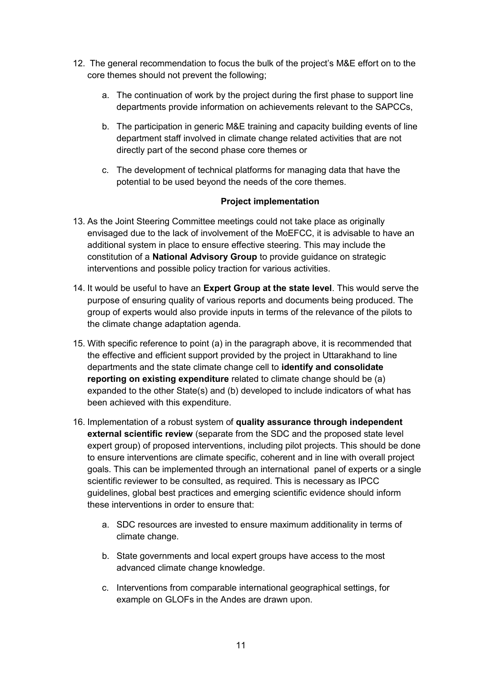- 12. The general recommendation to focus the bulk of the project's M&E effort on to the core themes should not prevent the following;
	- a. The continuation of work by the project during the first phase to support line departments provide information on achievements relevant to the SAPCCs,
	- b. The participation in generic M&E training and capacity building events of line department staff involved in climate change related activities that are not directly part of the second phase core themes or
	- c. The development of technical platforms for managing data that have the potential to be used beyond the needs of the core themes.

#### **Project implementation**

- 13. As the Joint Steering Committee meetings could not take place as originally envisaged due to the lack of involvement of the MoEFCC, it is advisable to have an additional system in place to ensure effective steering. This may include the constitution of a **National Advisory Group** to provide guidance on strategic interventions and possible policy traction for various activities.
- 14. It would be useful to have an **Expert Group at the state level**. This would serve the purpose of ensuring quality of various reports and documents being produced. The group of experts would also provide inputs in terms of the relevance of the pilots to the climate change adaptation agenda.
- 15. With specific reference to point (a) in the paragraph above, it is recommended that the effective and efficient support provided by the project in Uttarakhand to line departments and the state climate change cell to **identify and consolidate reporting on existing expenditure** related to climate change should be (a) expanded to the other State(s) and (b) developed to include indicators of what has been achieved with this expenditure.
- 16. Implementation of a robust system of **quality assurance through independent external scientific review** (separate from the SDC and the proposed state level expert group) of proposed interventions, including pilot projects. This should be done to ensure interventions are climate specific, coherent and in line with overall project goals. This can be implemented through an international panel of experts or a single scientific reviewer to be consulted, as required. This is necessary as IPCC guidelines, global best practices and emerging scientific evidence should inform these interventions in order to ensure that:
	- a. SDC resources are invested to ensure maximum additionality in terms of climate change.
	- b. State governments and local expert groups have access to the most advanced climate change knowledge.
	- c. Interventions from comparable international geographical settings, for example on GLOFs in the Andes are drawn upon.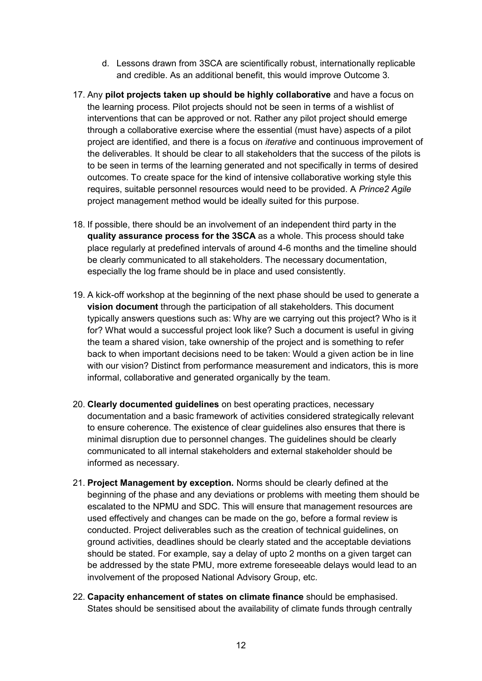- d. Lessons drawn from 3SCA are scientifically robust, internationally replicable and credible. As an additional benefit, this would improve Outcome 3.
- 17. Any **pilot projects taken up should be highly collaborative** and have a focus on the learning process. Pilot projects should not be seen in terms of a wishlist of interventions that can be approved or not. Rather any pilot project should emerge through a collaborative exercise where the essential (must have) aspects of a pilot project are identified, and there is a focus on *iterative* and continuous improvement of the deliverables. It should be clear to all stakeholders that the success of the pilots is to be seen in terms of the learning generated and not specifically in terms of desired outcomes. To create space for the kind of intensive collaborative working style this requires, suitable personnel resources would need to be provided. A *Prince2 Agile* project management method would be ideally suited for this purpose.
- 18. If possible, there should be an involvement of an independent third party in the **quality assurance process for the 3SCA** as a whole. This process should take place regularly at predefined intervals of around 4-6 months and the timeline should be clearly communicated to all stakeholders. The necessary documentation, especially the log frame should be in place and used consistently.
- 19. A kick-off workshop at the beginning of the next phase should be used to generate a **vision document** through the participation of all stakeholders. This document typically answers questions such as: Why are we carrying out this project? Who is it for? What would a successful project look like? Such a document is useful in giving the team a shared vision, take ownership of the project and is something to refer back to when important decisions need to be taken: Would a given action be in line with our vision? Distinct from performance measurement and indicators, this is more informal, collaborative and generated organically by the team.
- 20. **Clearly documented guidelines** on best operating practices, necessary documentation and a basic framework of activities considered strategically relevant to ensure coherence. The existence of clear guidelines also ensures that there is minimal disruption due to personnel changes. The guidelines should be clearly communicated to all internal stakeholders and external stakeholder should be informed as necessary.
- 21. **Project Management by exception.** Norms should be clearly defined at the beginning of the phase and any deviations or problems with meeting them should be escalated to the NPMU and SDC. This will ensure that management resources are used effectively and changes can be made on the go, before a formal review is conducted. Project deliverables such as the creation of technical guidelines, on ground activities, deadlines should be clearly stated and the acceptable deviations should be stated. For example, say a delay of upto 2 months on a given target can be addressed by the state PMU, more extreme foreseeable delays would lead to an involvement of the proposed National Advisory Group, etc.
- 22. **Capacity enhancement of states on climate finance** should be emphasised. States should be sensitised about the availability of climate funds through centrally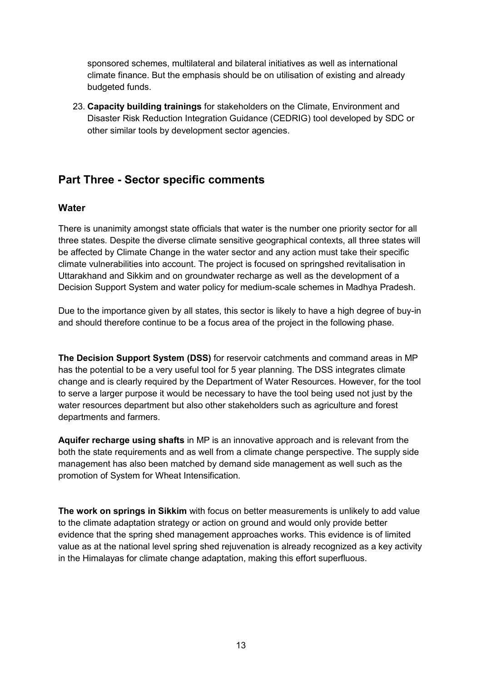sponsored schemes, multilateral and bilateral initiatives as well as international climate finance. But the emphasis should be on utilisation of existing and already budgeted funds.

23. **Capacity building trainings** for stakeholders on the Climate, Environment and Disaster Risk Reduction Integration Guidance (CEDRIG) tool developed by SDC or other similar tools by development sector agencies.

# **Part Three - Sector specific comments**

#### **Water**

There is unanimity amongst state officials that water is the number one priority sector for all three states. Despite the diverse climate sensitive geographical contexts, all three states will be affected by Climate Change in the water sector and any action must take their specific climate vulnerabilities into account. The project is focused on springshed revitalisation in Uttarakhand and Sikkim and on groundwater recharge as well as the development of a Decision Support System and water policy for medium-scale schemes in Madhya Pradesh.

Due to the importance given by all states, this sector is likely to have a high degree of buy-in and should therefore continue to be a focus area of the project in the following phase.

**The Decision Support System (DSS)** for reservoir catchments and command areas in MP has the potential to be a very useful tool for 5 year planning. The DSS integrates climate change and is clearly required by the Department of Water Resources. However, for the tool to serve a larger purpose it would be necessary to have the tool being used not just by the water resources department but also other stakeholders such as agriculture and forest departments and farmers.

**Aquifer recharge using shafts** in MP is an innovative approach and is relevant from the both the state requirements and as well from a climate change perspective. The supply side management has also been matched by demand side management as well such as the promotion of System for Wheat Intensification.

**The work on springs in Sikkim** with focus on better measurements is unlikely to add value to the climate adaptation strategy or action on ground and would only provide better evidence that the spring shed management approaches works. This evidence is of limited value as at the national level spring shed rejuvenation is already recognized as a key activity in the Himalayas for climate change adaptation, making this effort superfluous.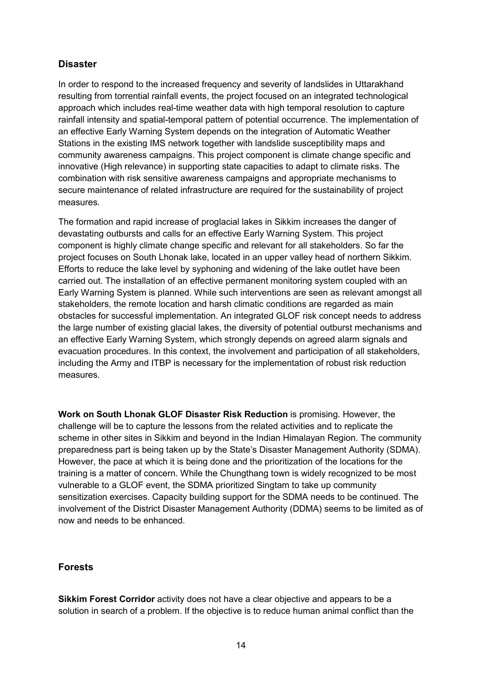## **Disaster**

In order to respond to the increased frequency and severity of landslides in Uttarakhand resulting from torrential rainfall events, the project focused on an integrated technological approach which includes real-time weather data with high temporal resolution to capture rainfall intensity and spatial-temporal pattern of potential occurrence. The implementation of an effective Early Warning System depends on the integration of Automatic Weather Stations in the existing IMS network together with landslide susceptibility maps and community awareness campaigns. This project component is climate change specific and innovative (High relevance) in supporting state capacities to adapt to climate risks. The combination with risk sensitive awareness campaigns and appropriate mechanisms to secure maintenance of related infrastructure are required for the sustainability of project measures.

The formation and rapid increase of proglacial lakes in Sikkim increases the danger of devastating outbursts and calls for an effective Early Warning System. This project component is highly climate change specific and relevant for all stakeholders. So far the project focuses on South Lhonak lake, located in an upper valley head of northern Sikkim. Efforts to reduce the lake level by syphoning and widening of the lake outlet have been carried out. The installation of an effective permanent monitoring system coupled with an Early Warning System is planned. While such interventions are seen as relevant amongst all stakeholders, the remote location and harsh climatic conditions are regarded as main obstacles for successful implementation. An integrated GLOF risk concept needs to address the large number of existing glacial lakes, the diversity of potential outburst mechanisms and an effective Early Warning System, which strongly depends on agreed alarm signals and evacuation procedures. In this context, the involvement and participation of all stakeholders, including the Army and ITBP is necessary for the implementation of robust risk reduction measures.

**Work on South Lhonak GLOF Disaster Risk Reduction** is promising. However, the challenge will be to capture the lessons from the related activities and to replicate the scheme in other sites in Sikkim and beyond in the Indian Himalayan Region. The community preparedness part is being taken up by the State's Disaster Management Authority (SDMA). However, the pace at which it is being done and the prioritization of the locations for the training is a matter of concern. While the Chungthang town is widely recognized to be most vulnerable to a GLOF event, the SDMA prioritized Singtam to take up community sensitization exercises. Capacity building support for the SDMA needs to be continued. The involvement of the District Disaster Management Authority (DDMA) seems to be limited as of now and needs to be enhanced.

## **Forests**

**Sikkim Forest Corridor** activity does not have a clear objective and appears to be a solution in search of a problem. If the objective is to reduce human animal conflict than the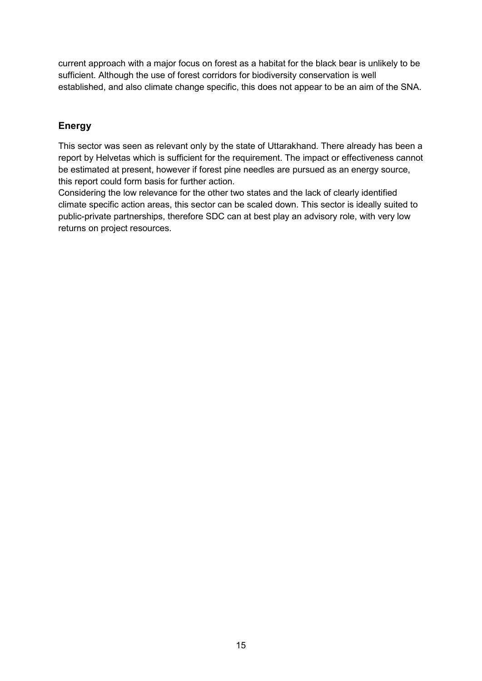current approach with a major focus on forest as a habitat for the black bear is unlikely to be sufficient. Although the use of forest corridors for biodiversity conservation is well established, and also climate change specific, this does not appear to be an aim of the SNA.

# **Energy**

This sector was seen as relevant only by the state of Uttarakhand. There already has been a report by Helvetas which is sufficient for the requirement. The impact or effectiveness cannot be estimated at present, however if forest pine needles are pursued as an energy source, this report could form basis for further action.

Considering the low relevance for the other two states and the lack of clearly identified climate specific action areas, this sector can be scaled down. This sector is ideally suited to public-private partnerships, therefore SDC can at best play an advisory role, with very low returns on project resources.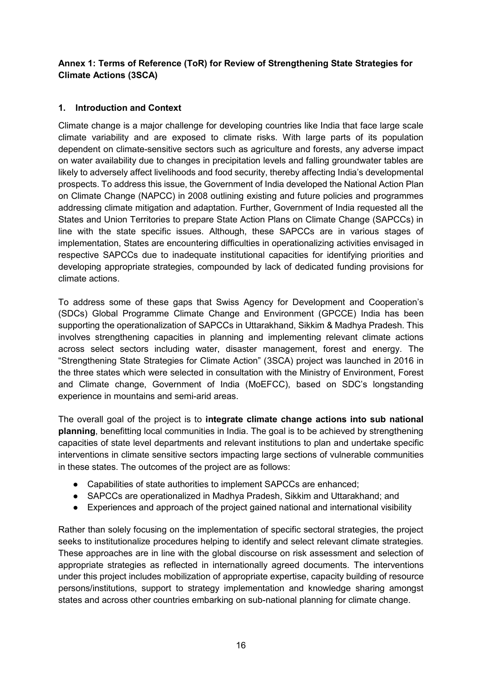## **Annex 1: Terms of Reference (ToR) for Review of Strengthening State Strategies for Climate Actions (3SCA)**

## **1. Introduction and Context**

Climate change is a major challenge for developing countries like India that face large scale climate variability and are exposed to climate risks. With large parts of its population dependent on climate-sensitive sectors such as agriculture and forests, any adverse impact on water availability due to changes in precipitation levels and falling groundwater tables are likely to adversely affect livelihoods and food security, thereby affecting India's developmental prospects. To address this issue, the Government of India developed the National Action Plan on Climate Change (NAPCC) in 2008 outlining existing and future policies and programmes addressing climate mitigation and adaptation. Further, Government of India requested all the States and Union Territories to prepare State Action Plans on Climate Change (SAPCCs) in line with the state specific issues. Although, these SAPCCs are in various stages of implementation, States are encountering difficulties in operationalizing activities envisaged in respective SAPCCs due to inadequate institutional capacities for identifying priorities and developing appropriate strategies, compounded by lack of dedicated funding provisions for climate actions.

To address some of these gaps that Swiss Agency for Development and Cooperation's (SDCs) Global Programme Climate Change and Environment (GPCCE) India has been supporting the operationalization of SAPCCs in Uttarakhand, Sikkim & Madhya Pradesh. This involves strengthening capacities in planning and implementing relevant climate actions across select sectors including water, disaster management, forest and energy. The "Strengthening State Strategies for Climate Action" (3SCA) project was launched in 2016 in the three states which were selected in consultation with the Ministry of Environment, Forest and Climate change, Government of India (MoEFCC), based on SDC's longstanding experience in mountains and semi-arid areas.

The overall goal of the project is to **integrate climate change actions into sub national planning**, benefitting local communities in India. The goal is to be achieved by strengthening capacities of state level departments and relevant institutions to plan and undertake specific interventions in climate sensitive sectors impacting large sections of vulnerable communities in these states. The outcomes of the project are as follows:

- Capabilities of state authorities to implement SAPCCs are enhanced;
- SAPCCs are operationalized in Madhya Pradesh, Sikkim and Uttarakhand; and
- Experiences and approach of the project gained national and international visibility

Rather than solely focusing on the implementation of specific sectoral strategies, the project seeks to institutionalize procedures helping to identify and select relevant climate strategies. These approaches are in line with the global discourse on risk assessment and selection of appropriate strategies as reflected in internationally agreed documents. The interventions under this project includes mobilization of appropriate expertise, capacity building of resource persons/institutions, support to strategy implementation and knowledge sharing amongst states and across other countries embarking on sub-national planning for climate change.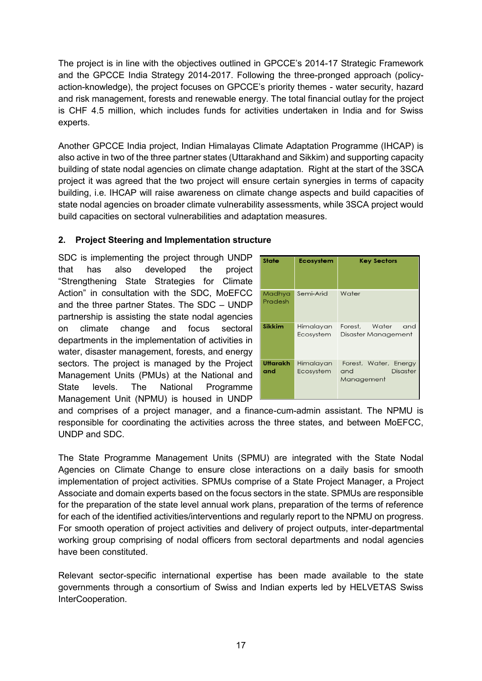The project is in line with the objectives outlined in GPCCE's 2014-17 Strategic Framework and the GPCCE India Strategy 2014-2017. Following the three-pronged approach (policyaction-knowledge), the project focuses on GPCCE's priority themes - water security, hazard and risk management, forests and renewable energy. The total financial outlay for the project is CHF 4.5 million, which includes funds for activities undertaken in India and for Swiss experts.

Another GPCCE India project, Indian Himalayas Climate Adaptation Programme (IHCAP) is also active in two of the three partner states (Uttarakhand and Sikkim) and supporting capacity building of state nodal agencies on climate change adaptation. Right at the start of the 3SCA project it was agreed that the two project will ensure certain synergies in terms of capacity building, i.e. IHCAP will raise awareness on climate change aspects and build capacities of state nodal agencies on broader climate vulnerability assessments, while 3SCA project would build capacities on sectoral vulnerabilities and adaptation measures.

#### **2. Project Steering and Implementation structure**

SDC is implementing the project through UNDP that has also developed the project "Strengthening State Strategies for Climate Action" in consultation with the SDC, MoEFCC and the three partner States. The SDC – UNDP partnership is assisting the state nodal agencies on climate change and focus sectoral departments in the implementation of activities in water, disaster management, forests, and energy sectors. The project is managed by the Project Management Units (PMUs) at the National and State levels. The National Programme Management Unit (NPMU) is housed in UNDP

| <b>State</b>      | <b>Ecosystem</b>       | <b>Key Sectors</b>                                            |
|-------------------|------------------------|---------------------------------------------------------------|
| Madhya<br>Pradesh | Semi-Arid              | Water                                                         |
| <b>Sikkim</b>     | Himalayan<br>Ecosystem | Water<br>and<br>Forest,<br>Disaster Management                |
| Uttarakh<br>and   | Himalayan<br>Ecosystem | Forest, Water, Energy<br><b>Disaster</b><br>and<br>Management |

and comprises of a project manager, and a finance-cum-admin assistant. The NPMU is responsible for coordinating the activities across the three states, and between MoEFCC, UNDP and SDC.

The State Programme Management Units (SPMU) are integrated with the State Nodal Agencies on Climate Change to ensure close interactions on a daily basis for smooth implementation of project activities. SPMUs comprise of a State Project Manager, a Project Associate and domain experts based on the focus sectors in the state. SPMUs are responsible for the preparation of the state level annual work plans, preparation of the terms of reference for each of the identified activities/interventions and regularly report to the NPMU on progress. For smooth operation of project activities and delivery of project outputs, inter-departmental working group comprising of nodal officers from sectoral departments and nodal agencies have been constituted.

Relevant sector-specific international expertise has been made available to the state governments through a consortium of Swiss and Indian experts led by HELVETAS Swiss InterCooperation.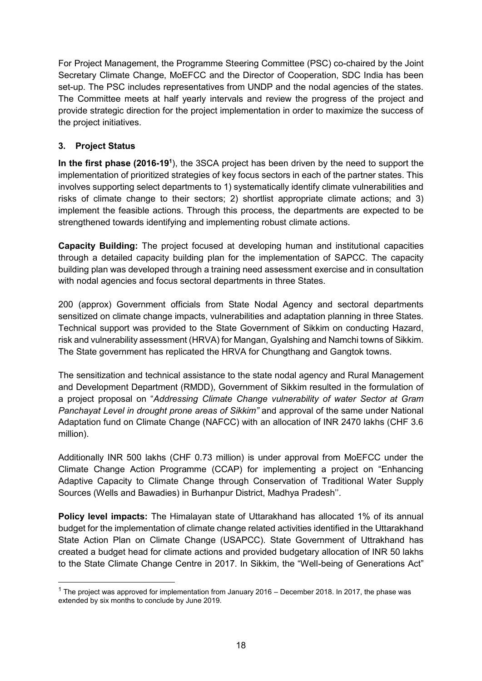For Project Management, the Programme Steering Committee (PSC) co-chaired by the Joint Secretary Climate Change, MoEFCC and the Director of Cooperation, SDC India has been set-up. The PSC includes representatives from UNDP and the nodal agencies of the states. The Committee meets at half yearly intervals and review the progress of the project and provide strategic direction for the project implementation in order to maximize the success of the project initiatives.

#### **3. Project Status**

-

In the first phase (2016-19<sup>1</sup>), the 3SCA project has been driven by the need to support the implementation of prioritized strategies of key focus sectors in each of the partner states. This involves supporting select departments to 1) systematically identify climate vulnerabilities and risks of climate change to their sectors; 2) shortlist appropriate climate actions; and 3) implement the feasible actions. Through this process, the departments are expected to be strengthened towards identifying and implementing robust climate actions.

**Capacity Building:** The project focused at developing human and institutional capacities through a detailed capacity building plan for the implementation of SAPCC. The capacity building plan was developed through a training need assessment exercise and in consultation with nodal agencies and focus sectoral departments in three States.

200 (approx) Government officials from State Nodal Agency and sectoral departments sensitized on climate change impacts, vulnerabilities and adaptation planning in three States. Technical support was provided to the State Government of Sikkim on conducting Hazard, risk and vulnerability assessment (HRVA) for Mangan, Gyalshing and Namchi towns of Sikkim. The State government has replicated the HRVA for Chungthang and Gangtok towns.

The sensitization and technical assistance to the state nodal agency and Rural Management and Development Department (RMDD), Government of Sikkim resulted in the formulation of a project proposal on "*Addressing Climate Change vulnerability of water Sector at Gram Panchayat Level in drought prone areas of Sikkim"* and approval of the same under National Adaptation fund on Climate Change (NAFCC) with an allocation of INR 2470 lakhs (CHF 3.6 million).

Additionally INR 500 lakhs (CHF 0.73 million) is under approval from MoEFCC under the Climate Change Action Programme (CCAP) for implementing a project on "Enhancing Adaptive Capacity to Climate Change through Conservation of Traditional Water Supply Sources (Wells and Bawadies) in Burhanpur District, Madhya Pradesh''.

**Policy level impacts:** The Himalayan state of Uttarakhand has allocated 1% of its annual budget for the implementation of climate change related activities identified in the Uttarakhand State Action Plan on Climate Change (USAPCC). State Government of Uttrakhand has created a budget head for climate actions and provided budgetary allocation of INR 50 lakhs to the State Climate Change Centre in 2017. In Sikkim, the "Well-being of Generations Act"

 $1$  The project was approved for implementation from January 2016 – December 2018. In 2017, the phase was extended by six months to conclude by June 2019.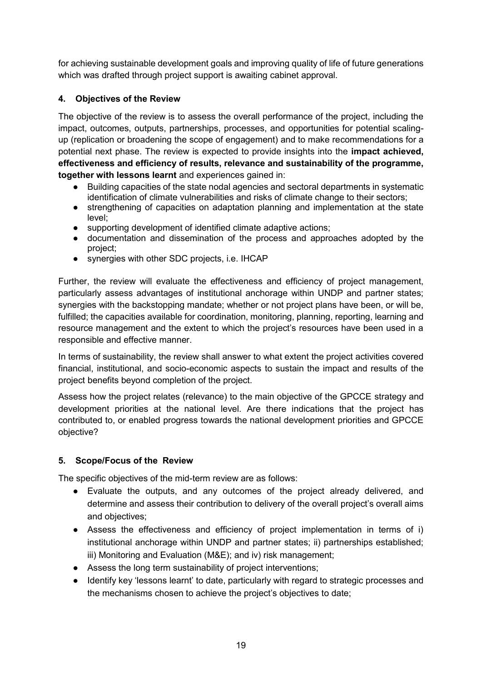for achieving sustainable development goals and improving quality of life of future generations which was drafted through project support is awaiting cabinet approval.

## **4. Objectives of the Review**

The objective of the review is to assess the overall performance of the project, including the impact, outcomes, outputs, partnerships, processes, and opportunities for potential scalingup (replication or broadening the scope of engagement) and to make recommendations for a potential next phase. The review is expected to provide insights into the **impact achieved, effectiveness and efficiency of results, relevance and sustainability of the programme, together with lessons learnt** and experiences gained in:

- Building capacities of the state nodal agencies and sectoral departments in systematic identification of climate vulnerabilities and risks of climate change to their sectors;
- strengthening of capacities on adaptation planning and implementation at the state level;
- supporting development of identified climate adaptive actions;
- documentation and dissemination of the process and approaches adopted by the project;
- synergies with other SDC projects, i.e. IHCAP

Further, the review will evaluate the effectiveness and efficiency of project management, particularly assess advantages of institutional anchorage within UNDP and partner states; synergies with the backstopping mandate; whether or not project plans have been, or will be, fulfilled; the capacities available for coordination, monitoring, planning, reporting, learning and resource management and the extent to which the project's resources have been used in a responsible and effective manner.

In terms of sustainability, the review shall answer to what extent the project activities covered financial, institutional, and socio-economic aspects to sustain the impact and results of the project benefits beyond completion of the project.

Assess how the project relates (relevance) to the main objective of the GPCCE strategy and development priorities at the national level. Are there indications that the project has contributed to, or enabled progress towards the national development priorities and GPCCE objective?

#### **5. Scope/Focus of the Review**

The specific objectives of the mid-term review are as follows:

- Evaluate the outputs, and any outcomes of the project already delivered, and determine and assess their contribution to delivery of the overall project's overall aims and objectives;
- Assess the effectiveness and efficiency of project implementation in terms of i) institutional anchorage within UNDP and partner states; ii) partnerships established; iii) Monitoring and Evaluation (M&E); and iv) risk management;
- Assess the long term sustainability of project interventions;
- Identify key 'lessons learnt' to date, particularly with regard to strategic processes and the mechanisms chosen to achieve the project's objectives to date;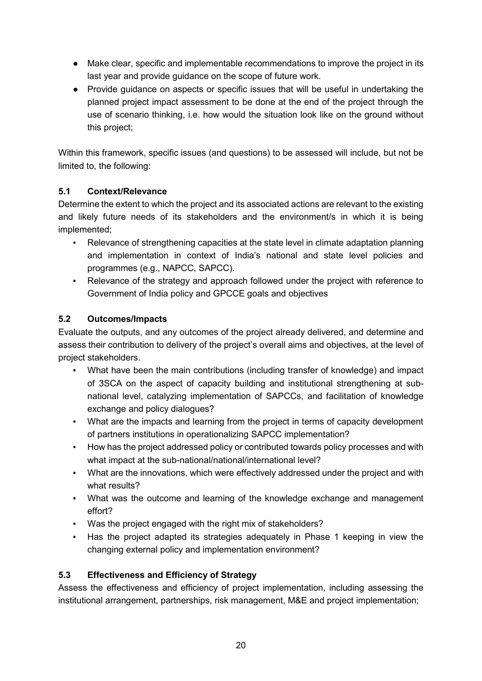- Make clear, specific and implementable recommendations to improve the project in its last year and provide guidance on the scope of future work.
- Provide guidance on aspects or specific issues that will be useful in undertaking the planned project impact assessment to be done at the end of the project through the use of scenario thinking, i.e. how would the situation look like on the ground without this project;

Within this framework, specific issues (and questions) to be assessed will include, but not be limited to, the following:

## **5.1 Context/Relevance**

Determine the extent to which the project and its associated actions are relevant to the existing and likely future needs of its stakeholders and the environment/s in which it is being implemented;

- Relevance of strengthening capacities at the state level in climate adaptation planning and implementation in context of India's national and state level policies and programmes (e.g., NAPCC, SAPCC).
- Relevance of the strategy and approach followed under the project with reference to Government of India policy and GPCCE goals and objectives

## **5.2 Outcomes/Impacts**

Evaluate the outputs, and any outcomes of the project already delivered, and determine and assess their contribution to delivery of the project's overall aims and objectives, at the level of project stakeholders.

- What have been the main contributions (including transfer of knowledge) and impact of 3SCA on the aspect of capacity building and institutional strengthening at subnational level, catalyzing implementation of SAPCCs, and facilitation of knowledge exchange and policy dialogues?
- What are the impacts and learning from the project in terms of capacity development of partners institutions in operationalizing SAPCC implementation?
- How has the project addressed policy or contributed towards policy processes and with what impact at the sub-national/national/international level?
- What are the innovations, which were effectively addressed under the project and with what results?
- What was the outcome and learning of the knowledge exchange and management effort?
- Was the project engaged with the right mix of stakeholders?
- Has the project adapted its strategies adequately in Phase 1 keeping in view the changing external policy and implementation environment?

## **5.3 Effectiveness and Efficiency of Strategy**

Assess the effectiveness and efficiency of project implementation, including assessing the institutional arrangement, partnerships, risk management, M&E and project implementation;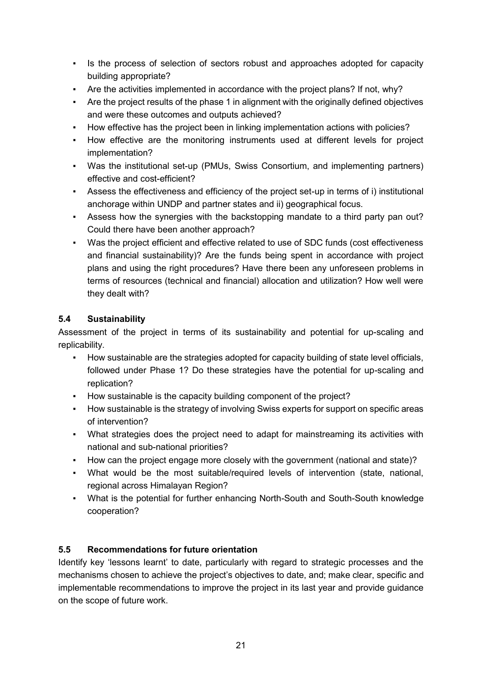- Is the process of selection of sectors robust and approaches adopted for capacity building appropriate?
- Are the activities implemented in accordance with the project plans? If not, why?
- Are the project results of the phase 1 in alignment with the originally defined objectives and were these outcomes and outputs achieved?
- How effective has the project been in linking implementation actions with policies?
- How effective are the monitoring instruments used at different levels for project implementation?
- Was the institutional set-up (PMUs, Swiss Consortium, and implementing partners) effective and cost-efficient?
- Assess the effectiveness and efficiency of the project set-up in terms of i) institutional anchorage within UNDP and partner states and ii) geographical focus.
- Assess how the synergies with the backstopping mandate to a third party pan out? Could there have been another approach?
- Was the project efficient and effective related to use of SDC funds (cost effectiveness and financial sustainability)? Are the funds being spent in accordance with project plans and using the right procedures? Have there been any unforeseen problems in terms of resources (technical and financial) allocation and utilization? How well were they dealt with?

# **5.4 Sustainability**

Assessment of the project in terms of its sustainability and potential for up-scaling and replicability.

- How sustainable are the strategies adopted for capacity building of state level officials, followed under Phase 1? Do these strategies have the potential for up-scaling and replication?
- How sustainable is the capacity building component of the project?
- How sustainable is the strategy of involving Swiss experts for support on specific areas of intervention?
- What strategies does the project need to adapt for mainstreaming its activities with national and sub-national priorities?
- How can the project engage more closely with the government (national and state)?
- What would be the most suitable/required levels of intervention (state, national, regional across Himalayan Region?
- What is the potential for further enhancing North-South and South-South knowledge cooperation?

## **5.5 Recommendations for future orientation**

Identify key 'lessons learnt' to date, particularly with regard to strategic processes and the mechanisms chosen to achieve the project's objectives to date, and; make clear, specific and implementable recommendations to improve the project in its last year and provide guidance on the scope of future work.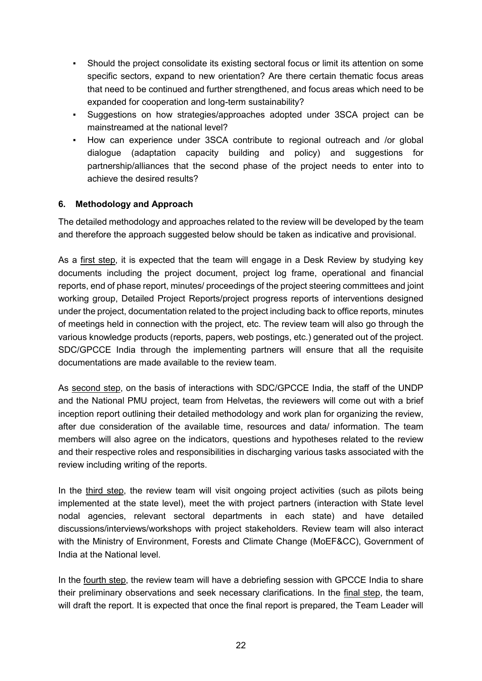- Should the project consolidate its existing sectoral focus or limit its attention on some specific sectors, expand to new orientation? Are there certain thematic focus areas that need to be continued and further strengthened, and focus areas which need to be expanded for cooperation and long-term sustainability?
- Suggestions on how strategies/approaches adopted under 3SCA project can be mainstreamed at the national level?
- How can experience under 3SCA contribute to regional outreach and /or global dialogue (adaptation capacity building and policy) and suggestions for partnership/alliances that the second phase of the project needs to enter into to achieve the desired results?

#### **6. Methodology and Approach**

The detailed methodology and approaches related to the review will be developed by the team and therefore the approach suggested below should be taken as indicative and provisional.

As a first step, it is expected that the team will engage in a Desk Review by studying key documents including the project document, project log frame, operational and financial reports, end of phase report, minutes/ proceedings of the project steering committees and joint working group, Detailed Project Reports/project progress reports of interventions designed under the project, documentation related to the project including back to office reports, minutes of meetings held in connection with the project, etc. The review team will also go through the various knowledge products (reports, papers, web postings, etc.) generated out of the project. SDC/GPCCE India through the implementing partners will ensure that all the requisite documentations are made available to the review team.

As second step, on the basis of interactions with SDC/GPCCE India, the staff of the UNDP and the National PMU project, team from Helvetas, the reviewers will come out with a brief inception report outlining their detailed methodology and work plan for organizing the review, after due consideration of the available time, resources and data/ information. The team members will also agree on the indicators, questions and hypotheses related to the review and their respective roles and responsibilities in discharging various tasks associated with the review including writing of the reports.

In the third step, the review team will visit ongoing project activities (such as pilots being implemented at the state level), meet the with project partners (interaction with State level nodal agencies, relevant sectoral departments in each state) and have detailed discussions/interviews/workshops with project stakeholders. Review team will also interact with the Ministry of Environment, Forests and Climate Change (MoEF&CC), Government of India at the National level.

In the fourth step, the review team will have a debriefing session with GPCCE India to share their preliminary observations and seek necessary clarifications. In the final step, the team, will draft the report. It is expected that once the final report is prepared, the Team Leader will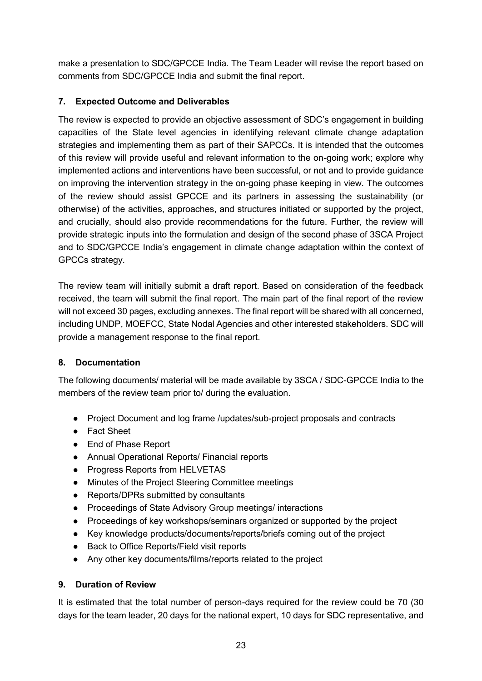make a presentation to SDC/GPCCE India. The Team Leader will revise the report based on comments from SDC/GPCCE India and submit the final report.

## **7. Expected Outcome and Deliverables**

The review is expected to provide an objective assessment of SDC's engagement in building capacities of the State level agencies in identifying relevant climate change adaptation strategies and implementing them as part of their SAPCCs. It is intended that the outcomes of this review will provide useful and relevant information to the on-going work; explore why implemented actions and interventions have been successful, or not and to provide guidance on improving the intervention strategy in the on-going phase keeping in view. The outcomes of the review should assist GPCCE and its partners in assessing the sustainability (or otherwise) of the activities, approaches, and structures initiated or supported by the project, and crucially, should also provide recommendations for the future. Further, the review will provide strategic inputs into the formulation and design of the second phase of 3SCA Project and to SDC/GPCCE India's engagement in climate change adaptation within the context of GPCCs strategy.

The review team will initially submit a draft report. Based on consideration of the feedback received, the team will submit the final report. The main part of the final report of the review will not exceed 30 pages, excluding annexes. The final report will be shared with all concerned, including UNDP, MOEFCC, State Nodal Agencies and other interested stakeholders. SDC will provide a management response to the final report.

## **8. Documentation**

The following documents/ material will be made available by 3SCA / SDC-GPCCE India to the members of the review team prior to/ during the evaluation.

- Project Document and log frame /updates/sub-project proposals and contracts
- Fact Sheet
- End of Phase Report
- Annual Operational Reports/ Financial reports
- Progress Reports from HELVETAS
- Minutes of the Project Steering Committee meetings
- Reports/DPRs submitted by consultants
- Proceedings of State Advisory Group meetings/ interactions
- Proceedings of key workshops/seminars organized or supported by the project
- Key knowledge products/documents/reports/briefs coming out of the project
- Back to Office Reports/Field visit reports
- Any other key documents/films/reports related to the project

## **9. Duration of Review**

It is estimated that the total number of person-days required for the review could be 70 (30 days for the team leader, 20 days for the national expert, 10 days for SDC representative, and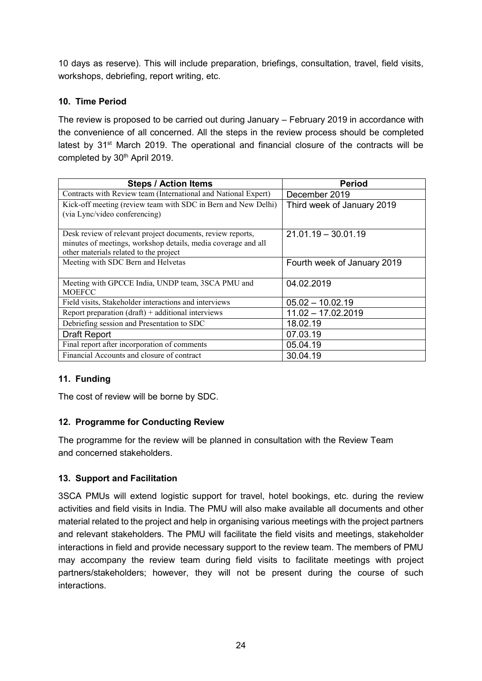10 days as reserve). This will include preparation, briefings, consultation, travel, field visits, workshops, debriefing, report writing, etc.

## **10. Time Period**

The review is proposed to be carried out during January – February 2019 in accordance with the convenience of all concerned. All the steps in the review process should be completed latest by 31<sup>st</sup> March 2019. The operational and financial closure of the contracts will be completed by 30<sup>th</sup> April 2019.

| <b>Steps / Action Items</b>                                                                                                 | <b>Period</b>               |
|-----------------------------------------------------------------------------------------------------------------------------|-----------------------------|
| Contracts with Review team (International and National Expert)                                                              | December 2019               |
| Kick-off meeting (review team with SDC in Bern and New Delhi)<br>(via Lync/video conferencing)                              | Third week of January 2019  |
| Desk review of relevant project documents, review reports,<br>minutes of meetings, workshop details, media coverage and all | $21.01.19 - 30.01.19$       |
| other materials related to the project                                                                                      |                             |
| Meeting with SDC Bern and Helvetas                                                                                          | Fourth week of January 2019 |
| Meeting with GPCCE India, UNDP team, 3SCA PMU and<br><b>MOEFCC</b>                                                          | 04.02.2019                  |
| Field visits, Stakeholder interactions and interviews                                                                       | $05.02 - 10.02.19$          |
| Report preparation $(draff)$ + additional interviews                                                                        | $11.02 - 17.02.2019$        |
| Debriefing session and Presentation to SDC                                                                                  | 18.02.19                    |
| <b>Draft Report</b>                                                                                                         | 07.03.19                    |
| Final report after incorporation of comments                                                                                | 05.04.19                    |
| Financial Accounts and closure of contract                                                                                  | 30.04.19                    |

## **11. Funding**

The cost of review will be borne by SDC.

#### **12. Programme for Conducting Review**

The programme for the review will be planned in consultation with the Review Team and concerned stakeholders.

#### **13. Support and Facilitation**

3SCA PMUs will extend logistic support for travel, hotel bookings, etc. during the review activities and field visits in India. The PMU will also make available all documents and other material related to the project and help in organising various meetings with the project partners and relevant stakeholders. The PMU will facilitate the field visits and meetings, stakeholder interactions in field and provide necessary support to the review team. The members of PMU may accompany the review team during field visits to facilitate meetings with project partners/stakeholders; however, they will not be present during the course of such interactions.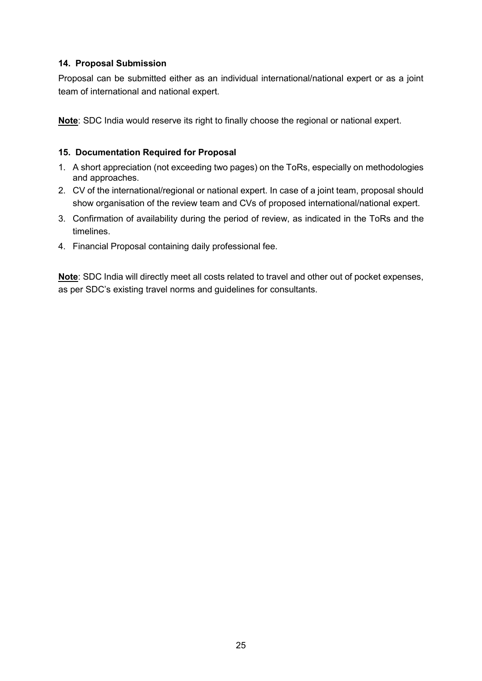#### **14. Proposal Submission**

Proposal can be submitted either as an individual international/national expert or as a joint team of international and national expert.

**Note**: SDC India would reserve its right to finally choose the regional or national expert.

#### **15. Documentation Required for Proposal**

- 1. A short appreciation (not exceeding two pages) on the ToRs, especially on methodologies and approaches.
- 2. CV of the international/regional or national expert. In case of a joint team, proposal should show organisation of the review team and CVs of proposed international/national expert.
- 3. Confirmation of availability during the period of review, as indicated in the ToRs and the timelines.
- 4. Financial Proposal containing daily professional fee.

**Note**: SDC India will directly meet all costs related to travel and other out of pocket expenses, as per SDC's existing travel norms and guidelines for consultants.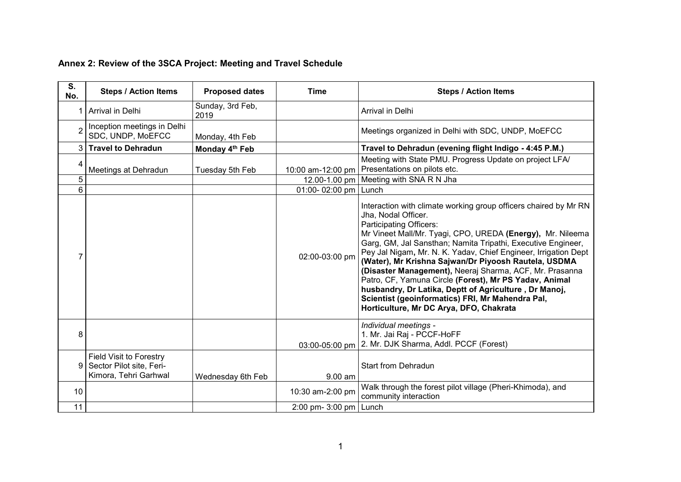| S.<br>No.       | <b>Steps / Action Items</b>                                                         | <b>Proposed dates</b>      | <b>Time</b>              | <b>Steps / Action Items</b>                                                                                                                                                                                                                                                                                                                                                                                                                                                                                                                                                                                                                              |
|-----------------|-------------------------------------------------------------------------------------|----------------------------|--------------------------|----------------------------------------------------------------------------------------------------------------------------------------------------------------------------------------------------------------------------------------------------------------------------------------------------------------------------------------------------------------------------------------------------------------------------------------------------------------------------------------------------------------------------------------------------------------------------------------------------------------------------------------------------------|
|                 | 1 Arrival in Delhi                                                                  | Sunday, 3rd Feb,<br>2019   |                          | Arrival in Delhi                                                                                                                                                                                                                                                                                                                                                                                                                                                                                                                                                                                                                                         |
|                 | Inception meetings in Delhi<br>SDC, UNDP, MoEFCC                                    | Monday, 4th Feb            |                          | Meetings organized in Delhi with SDC, UNDP, MoEFCC                                                                                                                                                                                                                                                                                                                                                                                                                                                                                                                                                                                                       |
|                 | 3 Travel to Dehradun                                                                | Monday 4 <sup>th</sup> Feb |                          | Travel to Dehradun (evening flight Indigo - 4:45 P.M.)                                                                                                                                                                                                                                                                                                                                                                                                                                                                                                                                                                                                   |
| 4               | Meetings at Dehradun                                                                | Tuesday 5th Feb            | 10:00 am-12:00 pm        | Meeting with State PMU. Progress Update on project LFA/<br>Presentations on pilots etc.                                                                                                                                                                                                                                                                                                                                                                                                                                                                                                                                                                  |
| 5               |                                                                                     |                            |                          | 12.00-1.00 pm   Meeting with SNA R N Jha                                                                                                                                                                                                                                                                                                                                                                                                                                                                                                                                                                                                                 |
| 6               |                                                                                     |                            | 01:00- 02:00 pm   Lunch  |                                                                                                                                                                                                                                                                                                                                                                                                                                                                                                                                                                                                                                                          |
|                 |                                                                                     |                            | 02:00-03:00 pm           | Interaction with climate working group officers chaired by Mr RN<br>Jha, Nodal Officer.<br>Participating Officers:<br>Mr Vineet Mall/Mr. Tyagi, CPO, UREDA (Energy), Mr. Nileema<br>Garg, GM, Jal Sansthan; Namita Tripathi, Executive Engineer,<br>Pey Jal Nigam, Mr. N. K. Yadav, Chief Engineer, Irrigation Dept<br>(Water), Mr Krishna Sajwan/Dr Piyoosh Rautela, USDMA<br>(Disaster Management), Neeraj Sharma, ACF, Mr. Prasanna<br>Patro, CF, Yamuna Circle (Forest), Mr PS Yadav, Animal<br>husbandry, Dr Latika, Deptt of Agriculture, Dr Manoj,<br>Scientist (geoinformatics) FRI, Mr Mahendra Pal,<br>Horticulture, Mr DC Arya, DFO, Chakrata |
| 8               |                                                                                     |                            | 03:00-05:00 pm           | Individual meetings -<br>1. Mr. Jai Raj - PCCF-HoFF<br>2. Mr. DJK Sharma, Addl. PCCF (Forest)                                                                                                                                                                                                                                                                                                                                                                                                                                                                                                                                                            |
| 9               | <b>Field Visit to Forestry</b><br>Sector Pilot site, Feri-<br>Kimora, Tehri Garhwal | Wednesday 6th Feb          | $9.00$ am                | Start from Dehradun                                                                                                                                                                                                                                                                                                                                                                                                                                                                                                                                                                                                                                      |
| 10 <sup>°</sup> |                                                                                     |                            | 10:30 am-2:00 pm         | Walk through the forest pilot village (Pheri-Khimoda), and<br>community interaction                                                                                                                                                                                                                                                                                                                                                                                                                                                                                                                                                                      |
| 11              |                                                                                     |                            | 2:00 pm- 3:00 pm   Lunch |                                                                                                                                                                                                                                                                                                                                                                                                                                                                                                                                                                                                                                                          |

# **Annex 2: Review of the 3SCA Project: Meeting and Travel Schedule**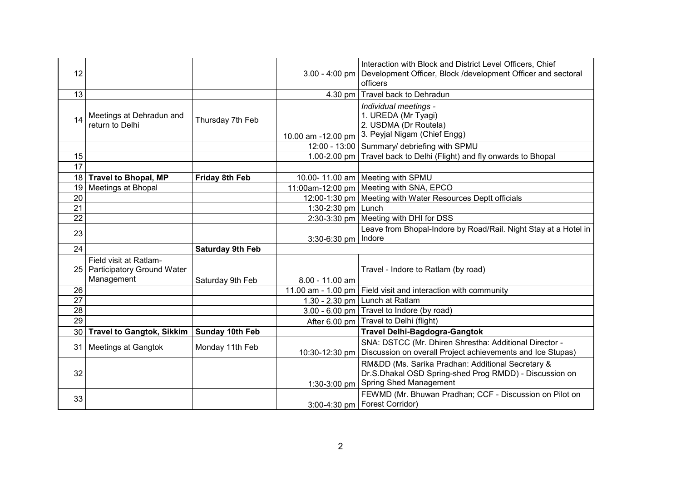| 12              |                                                                       |                         |                       | Interaction with Block and District Level Officers, Chief<br>3.00 - 4:00 pm   Development Officer, Block /development Officer and sectoral<br>officers |
|-----------------|-----------------------------------------------------------------------|-------------------------|-----------------------|--------------------------------------------------------------------------------------------------------------------------------------------------------|
| 13              |                                                                       |                         |                       | 4.30 pm   Travel back to Dehradun                                                                                                                      |
| 14              | Meetings at Dehradun and<br>return to Delhi                           | Thursday 7th Feb        | 10.00 am -12.00 pm    | Individual meetings -<br>1. UREDA (Mr Tyagi)<br>2. USDMA (Dr Routela)<br>3. Peyjal Nigam (Chief Engg)                                                  |
|                 |                                                                       |                         |                       | 12:00 - 13:00 Summary/ debriefing with SPMU                                                                                                            |
| 15              |                                                                       |                         |                       | 1.00-2.00 pm   Travel back to Delhi (Flight) and fly onwards to Bhopal                                                                                 |
| 17              |                                                                       |                         |                       |                                                                                                                                                        |
| 18              | <b>Travel to Bhopal, MP</b>                                           | <b>Friday 8th Feb</b>   |                       | 10.00-11.00 am   Meeting with SPMU                                                                                                                     |
|                 | 19 Meetings at Bhopal                                                 |                         |                       | 11:00am-12:00 pm   Meeting with SNA, EPCO                                                                                                              |
| 20              |                                                                       |                         |                       | 12:00-1:30 pm   Meeting with Water Resources Deptt officials                                                                                           |
| 21              |                                                                       |                         | 1:30-2:30 pm   Lunch  |                                                                                                                                                        |
| 22              |                                                                       |                         |                       | 2:30-3:30 pm   Meeting with DHI for DSS                                                                                                                |
| 23              |                                                                       |                         |                       | Leave from Bhopal-Indore by Road/Rail. Night Stay at a Hotel in                                                                                        |
|                 |                                                                       |                         | 3:30-6:30 pm   Indore |                                                                                                                                                        |
| 24              |                                                                       | <b>Saturday 9th Feb</b> |                       |                                                                                                                                                        |
|                 | Field visit at Ratlam-<br>25 Participatory Ground Water<br>Management | Saturday 9th Feb        | $8.00 - 11.00$ am     | Travel - Indore to Ratlam (by road)                                                                                                                    |
| 26              |                                                                       |                         |                       | 11.00 am - 1.00 pm   Field visit and interaction with community                                                                                        |
| 27              |                                                                       |                         |                       | 1.30 - 2.30 pm   Lunch at Ratlam                                                                                                                       |
| 28              |                                                                       |                         |                       | 3.00 - 6.00 pm $\vert$ Travel to Indore (by road)                                                                                                      |
| 29              |                                                                       |                         |                       | After 6.00 pm   Travel to Delhi (flight)                                                                                                               |
| 30 <sub>1</sub> | <b>Travel to Gangtok, Sikkim</b>                                      | Sunday 10th Feb         |                       | <b>Travel Delhi-Bagdogra-Gangtok</b>                                                                                                                   |
|                 | 31 Meetings at Gangtok                                                | Monday 11th Feb         | 10:30-12:30 pm        | SNA: DSTCC (Mr. Dhiren Shrestha: Additional Director -<br>Discussion on overall Project achievements and Ice Stupas)                                   |
| 32              |                                                                       |                         | 1:30-3:00 pm          | RMⅅ (Ms. Sarika Pradhan: Additional Secretary &<br>Dr.S.Dhakal OSD Spring-shed Prog RMDD) - Discussion on<br><b>Spring Shed Management</b>             |
| 33              |                                                                       |                         |                       | FEWMD (Mr. Bhuwan Pradhan; CCF - Discussion on Pilot on<br>3:00-4:30 pm   Forest Corridor)                                                             |